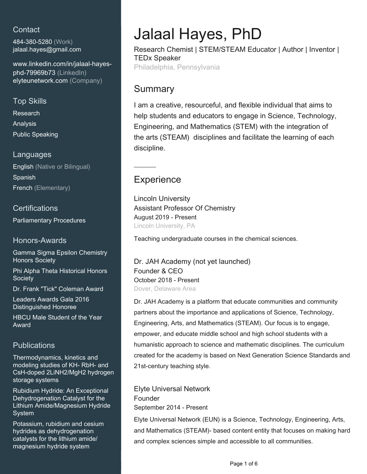# **Contact**

484-380-5280 (Work) [jalaal.hayes@gmail.com](mailto:jalaal.hayes@gmail.com)

[www.linkedin.com/in/jalaal-hayes](https://www.linkedin.com/in/jalaal-hayes-phd-79969b73?jobid=1234&lipi=urn%3Ali%3Apage%3Ad_jobs_easyapply_pdfgenresume%3BKrEj8xIrQw6u3Teai4YQoQ%3D%3D&licu=urn%3Ali%3Acontrol%3Ad_jobs_easyapply_pdfgenresume-v02_profile)[phd-79969b73 \(LinkedIn\)](https://www.linkedin.com/in/jalaal-hayes-phd-79969b73?jobid=1234&lipi=urn%3Ali%3Apage%3Ad_jobs_easyapply_pdfgenresume%3BKrEj8xIrQw6u3Teai4YQoQ%3D%3D&licu=urn%3Ali%3Acontrol%3Ad_jobs_easyapply_pdfgenresume-v02_profile) [elyteunetwork.com \(Company\)](elyteunetwork.com)

## Top Skills

Research Analysis Public Speaking

### Languages

English (Native or Bilingual) Spanish French (Elementary)

## **Certifications**

Parliamentary Procedures

## Honors-Awards

Gamma Sigma Epsilon Chemistry Honors Society

Phi Alpha Theta Historical Honors **Society** 

Dr. Frank "Tick" Coleman Award

Leaders Awards Gala 2016 Distinguished Honoree

HBCU Male Student of the Year Award

## **Publications**

Thermodynamics, kinetics and modeling studies of KH- RbH- and CsH-doped 2LiNH2/MgH2 hydrogen storage systems

Rubidium Hydride: An Exceptional Dehydrogenation Catalyst for the Lithium Amide/Magnesium Hydride System

Potassium, rubidium and cesium hydrides as dehydrogenation catalysts for the lithium amide/ magnesium hydride system

# Jalaal Hayes, PhD

Research Chemist | STEM/STEAM Educator | Author | Inventor | TEDx Speaker

Philadelphia, Pennsylvania

# **Summary**

I am a creative, resourceful, and flexible individual that aims to help students and educators to engage in Science, Technology, Engineering, and Mathematics (STEM) with the integration of the arts (STEAM) disciplines and facilitate the learning of each discipline.

# **Experience**

Lincoln University Assistant Professor Of Chemistry August 2019 - Present Lincoln University, PA

Teaching undergraduate courses in the chemical sciences.

Dr. JAH Academy (not yet launched) Founder & CEO October 2018 - Present Dover, Delaware Area

Dr. JAH Academy is a platform that educate communities and community partners about the importance and applications of Science, Technology, Engineering, Arts, and Mathematics (STEAM). Our focus is to engage, empower, and educate middle school and high school students with a humanistic approach to science and mathematic disciplines. The curriculum created for the academy is based on Next Generation Science Standards and 21st-century teaching style.

Elyte Universal Network Founder September 2014 - Present

Elyte Universal Network (EUN) is a Science, Technology, Engineering, Arts, and Mathematics (STEAM)- based content entity that focuses on making hard and complex sciences simple and accessible to all communities.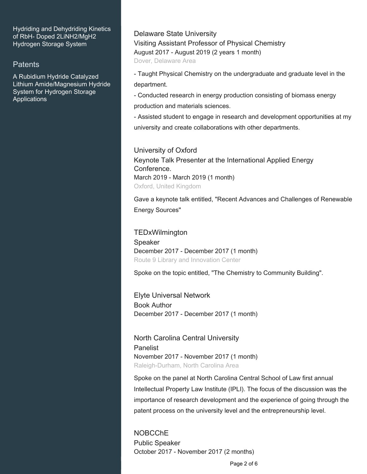Hydriding and Dehydriding Kinetics of RbH- Doped 2LiNH2/MgH2 Hydrogen Storage System

#### Patents

A Rubidium Hydride Catalyzed Lithium Amide/Magnesium Hydride System for Hydrogen Storage Applications

Delaware State University Visiting Assistant Professor of Physical Chemistry August 2017 - August 2019 (2 years 1 month) Dover, Delaware Area

- Taught Physical Chemistry on the undergraduate and graduate level in the department.

- Conducted research in energy production consisting of biomass energy production and materials sciences.

- Assisted student to engage in research and development opportunities at my university and create collaborations with other departments.

University of Oxford Keynote Talk Presenter at the International Applied Energy Conference. March 2019 - March 2019 (1 month) Oxford, United Kingdom

Gave a keynote talk entitled, "Recent Advances and Challenges of Renewable Energy Sources"

TEDxWilmington Speaker December 2017 - December 2017 (1 month) Route 9 Library and Innovation Center

Spoke on the topic entitled, "The Chemistry to Community Building".

Elyte Universal Network Book Author December 2017 - December 2017 (1 month)

North Carolina Central University Panelist November 2017 - November 2017 (1 month) Raleigh-Durham, North Carolina Area

Spoke on the panel at North Carolina Central School of Law first annual Intellectual Property Law Institute (IPLI). The focus of the discussion was the importance of research development and the experience of going through the patent process on the university level and the entrepreneurship level.

NOBCChE Public Speaker October 2017 - November 2017 (2 months)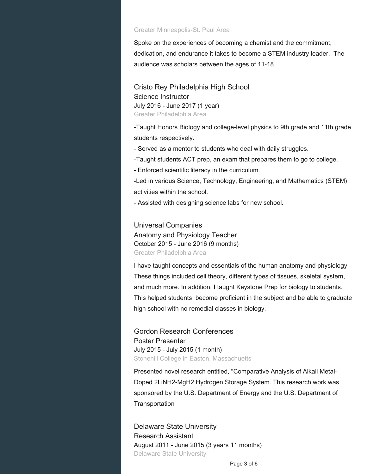#### Greater Minneapolis-St. Paul Area

Spoke on the experiences of becoming a chemist and the commitment, dedication, and endurance it takes to become a STEM industry leader. The audience was scholars between the ages of 11-18.

Cristo Rey Philadelphia High School Science Instructor July 2016 - June 2017 (1 year) Greater Philadelphia Area

-Taught Honors Biology and college-level physics to 9th grade and 11th grade students respectively.

- Served as a mentor to students who deal with daily struggles.

-Taught students ACT prep, an exam that prepares them to go to college.

- Enforced scientific literacy in the curriculum.

-Led in various Science, Technology, Engineering, and Mathematics (STEM) activities within the school.

- Assisted with designing science labs for new school.

Universal Companies Anatomy and Physiology Teacher October 2015 - June 2016 (9 months) Greater Philadelphia Area

I have taught concepts and essentials of the human anatomy and physiology. These things included cell theory, different types of tissues, skeletal system, and much more. In addition, I taught Keystone Prep for biology to students. This helped students become proficient in the subject and be able to graduate high school with no remedial classes in biology.

Gordon Research Conferences Poster Presenter July 2015 - July 2015 (1 month) Stonehill College in Easton, Massachuetts

Presented novel research entitled, "Comparative Analysis of Alkali Metal-Doped 2LiNH2-MgH2 Hydrogen Storage System. This research work was sponsored by the U.S. Department of Energy and the U.S. Department of **Transportation** 

Delaware State University Research Assistant August 2011 - June 2015 (3 years 11 months) Delaware State University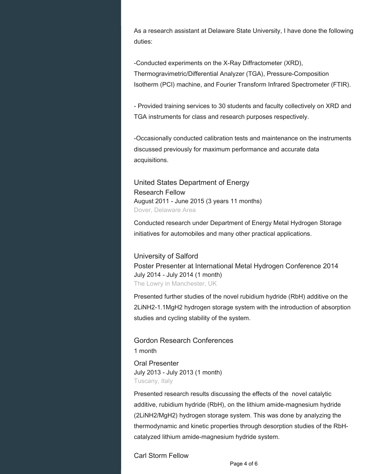As a research assistant at Delaware State University, I have done the following duties:

-Conducted experiments on the X-Ray Diffractometer (XRD), Thermogravimetric/Differential Analyzer (TGA), Pressure-Composition Isotherm (PCI) machine, and Fourier Transform Infrared Spectrometer (FTIR).

- Provided training services to 30 students and faculty collectively on XRD and TGA instruments for class and research purposes respectively.

-Occasionally conducted calibration tests and maintenance on the instruments discussed previously for maximum performance and accurate data acquisitions.

United States Department of Energy Research Fellow August 2011 - June 2015 (3 years 11 months) Dover, Delaware Area

Conducted research under Department of Energy Metal Hydrogen Storage initiatives for automobiles and many other practical applications.

University of Salford Poster Presenter at International Metal Hydrogen Conference 2014 July 2014 - July 2014 (1 month) The Lowry in Manchester, UK

Presented further studies of the novel rubidium hydride (RbH) additive on the 2LiNH2-1.1MgH2 hydrogen storage system with the introduction of absorption studies and cycling stability of the system.

Gordon Research Conferences

1 month

Oral Presenter July 2013 - July 2013 (1 month) Tuscany, Italy

Presented research results discussing the effects of the novel catalytic additive, rubidium hydride (RbH), on the lithium amide-magnesium hydride (2LiNH2/MgH2) hydrogen storage system. This was done by analyzing the thermodynamic and kinetic properties through desorption studies of the RbHcatalyzed lithium amide-magnesium hydride system.

Carl Storm Fellow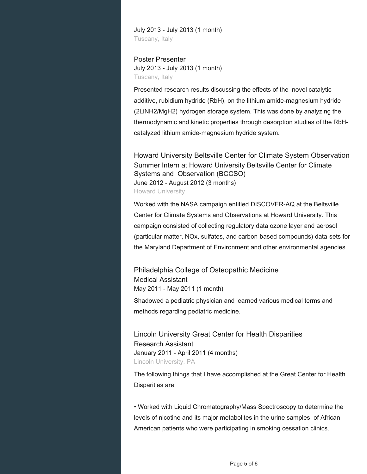July 2013 - July 2013 (1 month) Tuscany, Italy

#### Poster Presenter July 2013 - July 2013 (1 month) Tuscany, Italy

Presented research results discussing the effects of the novel catalytic additive, rubidium hydride (RbH), on the lithium amide-magnesium hydride (2LiNH2/MgH2) hydrogen storage system. This was done by analyzing the thermodynamic and kinetic properties through desorption studies of the RbHcatalyzed lithium amide-magnesium hydride system.

Howard University Beltsville Center for Climate System Observation Summer Intern at Howard University Beltsville Center for Climate Systems and Observation (BCCSO) June 2012 - August 2012 (3 months) Howard University

Worked with the NASA campaign entitled DISCOVER-AQ at the Beltsville Center for Climate Systems and Observations at Howard University. This campaign consisted of collecting regulatory data ozone layer and aerosol (particular matter, NOx, sulfates, and carbon-based compounds) data-sets for the Maryland Department of Environment and other environmental agencies.

Philadelphia College of Osteopathic Medicine Medical Assistant May 2011 - May 2011 (1 month)

Shadowed a pediatric physician and learned various medical terms and methods regarding pediatric medicine.

Lincoln University Great Center for Health Disparities Research Assistant January 2011 - April 2011 (4 months) Lincoln University, PA

The following things that I have accomplished at the Great Center for Health Disparities are:

• Worked with Liquid Chromatography/Mass Spectroscopy to determine the levels of nicotine and its major metabolites in the urine samples of African American patients who were participating in smoking cessation clinics.